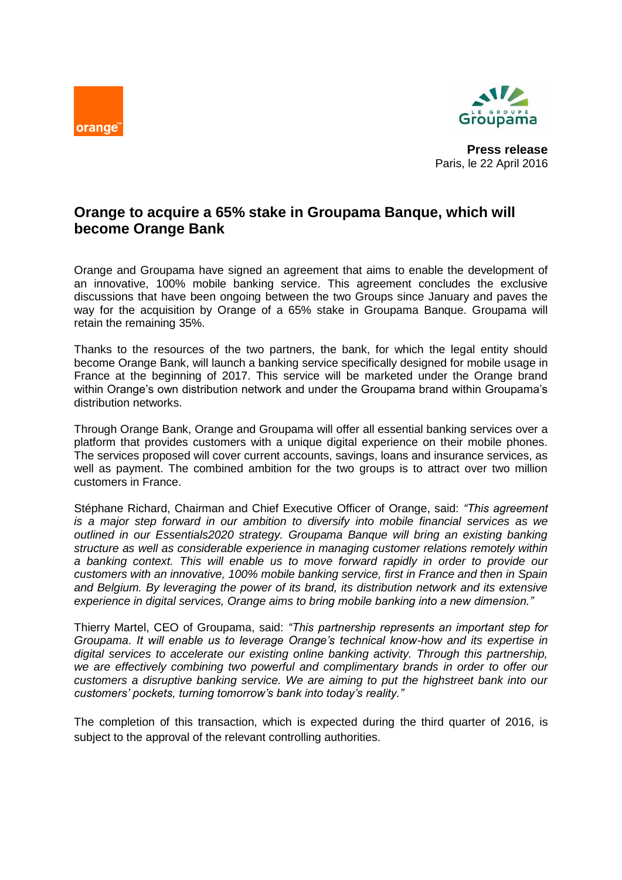



**Press release** Paris, le 22 April 2016

## **Orange to acquire a 65% stake in Groupama Banque, which will become Orange Bank**

Orange and Groupama have signed an agreement that aims to enable the development of an innovative, 100% mobile banking service. This agreement concludes the exclusive discussions that have been ongoing between the two Groups since January and paves the way for the acquisition by Orange of a 65% stake in Groupama Banque. Groupama will retain the remaining 35%.

Thanks to the resources of the two partners, the bank, for which the legal entity should become Orange Bank, will launch a banking service specifically designed for mobile usage in France at the beginning of 2017. This service will be marketed under the Orange brand within Orange's own distribution network and under the Groupama brand within Groupama's distribution networks.

Through Orange Bank, Orange and Groupama will offer all essential banking services over a platform that provides customers with a unique digital experience on their mobile phones. The services proposed will cover current accounts, savings, loans and insurance services, as well as payment. The combined ambition for the two groups is to attract over two million customers in France.

Stéphane Richard, Chairman and Chief Executive Officer of Orange, said: *"This agreement is a major step forward in our ambition to diversify into mobile financial services as we outlined in our Essentials2020 strategy. Groupama Banque will bring an existing banking structure as well as considerable experience in managing customer relations remotely within a banking context. This will enable us to move forward rapidly in order to provide our customers with an innovative, 100% mobile banking service, first in France and then in Spain and Belgium. By leveraging the power of its brand, its distribution network and its extensive experience in digital services, Orange aims to bring mobile banking into a new dimension."*

Thierry Martel, CEO of Groupama, said: *"This partnership represents an important step for Groupama. It will enable us to leverage Orange's technical know-how and its expertise in digital services to accelerate our existing online banking activity. Through this partnership, we are effectively combining two powerful and complimentary brands in order to offer our customers a disruptive banking service. We are aiming to put the highstreet bank into our customers' pockets, turning tomorrow's bank into today's reality."*

The completion of this transaction, which is expected during the third quarter of 2016, is subject to the approval of the relevant controlling authorities.